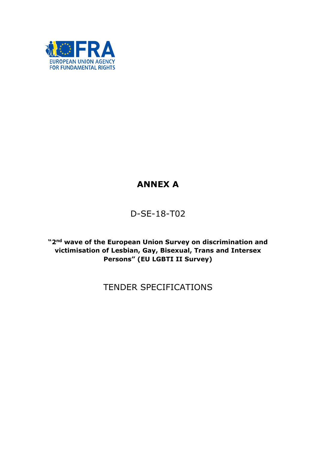

# ANNEX A

# D-SE-18-T02

"2<sup>nd</sup> wave of the European Union Survey on discrimination and victimisation of Lesbian, Gay, Bisexual, Trans and Intersex Persons" (EU LGBTI II Survey)

# TENDER SPECIFICATIONS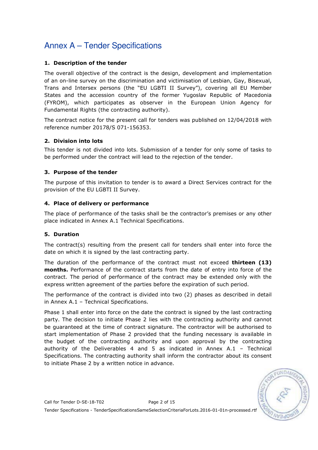### 1. Description of the tender

The overall objective of the contract is the design, development and implementation of an on-line survey on the discrimination and victimisation of Lesbian, Gay, Bisexual, Trans and Intersex persons (the "EU LGBTI II Survey"), covering all EU Member States and the accession country of the former Yugoslav Republic of Macedonia (FYROM), which participates as observer in the European Union Agency for Fundamental Rights (the contracting authority).

The contract notice for the present call for tenders was published on 12/04/2018 with reference number 20178/S 071-156353.

### 2. Division into lots

This tender is not divided into lots. Submission of a tender for only some of tasks to be performed under the contract will lead to the rejection of the tender.

### 3. Purpose of the tender

The purpose of this invitation to tender is to award a Direct Services contract for the provision of the EU LGBTI II Survey.

### 4. Place of delivery or performance

The place of performance of the tasks shall be the contractor's premises or any other place indicated in Annex A.1 Technical Specifications.

### 5. Duration

The contract(s) resulting from the present call for tenders shall enter into force the date on which it is signed by the last contracting party.

The duration of the performance of the contract must not exceed **thirteen (13)** months. Performance of the contract starts from the date of entry into force of the contract. The period of performance of the contract may be extended only with the express written agreement of the parties before the expiration of such period.

The performance of the contract is divided into two (2) phases as described in detail in Annex A.1 – Technical Specifications.

Phase 1 shall enter into force on the date the contract is signed by the last contracting party. The decision to initiate Phase 2 lies with the contracting authority and cannot be guaranteed at the time of contract signature. The contractor will be authorised to start implementation of Phase 2 provided that the funding necessary is available in the budget of the contracting authority and upon approval by the contracting authority of the Deliverables 4 and 5 as indicated in Annex A.1 – Technical Specifications. The contracting authority shall inform the contractor about its consent to initiate Phase 2 by a written notice in advance.

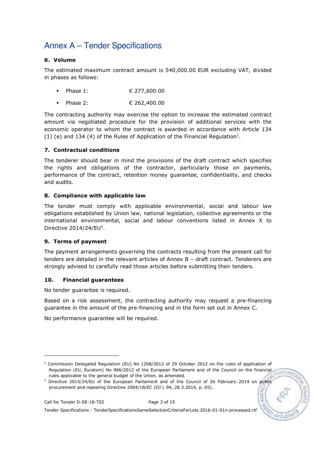### 6. Volume

The estimated maximum contract amount is 540,000.00 EUR excluding VAT, divided in phases as follows:

- Phase 1: € 277,600.00
- Phase 2: € 262,400.00

The contracting authority may exercise the option to increase the estimated contract amount via negotiated procedure for the provision of additional services with the economic operator to whom the contract is awarded in accordance with Article 134 (1) (e) and 134 (4) of the Rules of Application of the Financial Regulation<sup>1</sup>.

### 7. Contractual conditions

The tenderer should bear in mind the provisions of the draft contract which specifies the rights and obligations of the contractor, particularly those on payments, performance of the contract, retention money guarantee, confidentiality, and checks and audits.

### 8. Compliance with applicable law

The tender must comply with applicable environmental, social and labour law obligations established by Union law, national legislation, collective agreements or the international environmental, social and labour conventions listed in Annex X to Directive  $2014/24$ /EU<sup>2</sup>.

### 9. Terms of payment

The payment arrangements governing the contracts resulting from the present call for tenders are detailed in the relevant articles of Annex B – draft contract. Tenderers are strongly advised to carefully read those articles before submitting their tenders.

### 10. Financial guarantees

No tender guarantee is required.

Based on a risk assessment, the contracting authority may request a pre-financing guarantee in the amount of the pre-financing and in the form set out in Annex C.

No performance guarantee will be required.

-

<sup>1</sup> Commission Delegated Regulation (EU) No 1268/2012 of 29 October 2012 on the rules of application of Regulation (EU, Euratom) No 966/2012 of the European Parliament and of the Council on the financial EUNDAA rules applicable to the general budget of the Union, as amended.

<sup>&</sup>lt;sup>2</sup> Directive 2014/24/EU of the European Parliament and of the Council of 26 February 2014 on public procurement and repealing Directive 2004/18/EC (OJ L 94, 28.3.2014, p. 65).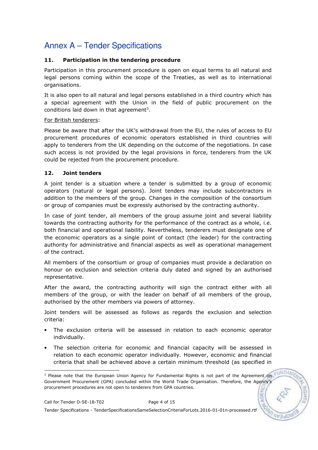### 11. Participation in the tendering procedure

Participation in this procurement procedure is open on equal terms to all natural and legal persons coming within the scope of the Treaties, as well as to international organisations.

It is also open to all natural and legal persons established in a third country which has a special agreement with the Union in the field of public procurement on the conditions laid down in that agreement<sup>3</sup>.

#### For British tenderers:

Please be aware that after the UK's withdrawal from the EU, the rules of access to EU procurement procedures of economic operators established in third countries will apply to tenderers from the UK depending on the outcome of the negotiations. In case such access is not provided by the legal provisions in force, tenderers from the UK could be rejected from the procurement procedure.

### 12. Joint tenders

A joint tender is a situation where a tender is submitted by a group of economic operators (natural or legal persons). Joint tenders may include subcontractors in addition to the members of the group. Changes in the composition of the consortium or group of companies must be expressly authorised by the contracting authority.

In case of joint tender, all members of the group assume joint and several liability towards the contracting authority for the performance of the contract as a whole, i.e. both financial and operational liability. Nevertheless, tenderers must designate one of the economic operators as a single point of contact (the leader) for the contracting authority for administrative and financial aspects as well as operational management of the contract.

All members of the consortium or group of companies must provide a declaration on honour on exclusion and selection criteria duly dated and signed by an authorised representative.

After the award, the contracting authority will sign the contract either with all members of the group, or with the leader on behalf of all members of the group, authorised by the other members via powers of attorney.

Joint tenders will be assessed as follows as regards the exclusion and selection criteria:

- The exclusion criteria will be assessed in relation to each economic operator individually.
- The selection criteria for economic and financial capacity will be assessed in relation to each economic operator individually. However, economic and financial criteria that shall be achieved above a certain minimum threshold (as specified in

Tender Specifications - TenderSpecificationsSameSelectionCriteriaForLots.2016-01-01n-processed.rtf

 3 Please note that the European Union Agency for Fundamental Rights is not part of the Agreement on Government Procurement (GPA) concluded within the World Trade Organisation. Therefore, the Agency's procurement procedures are not open to tenderers from GPA countries.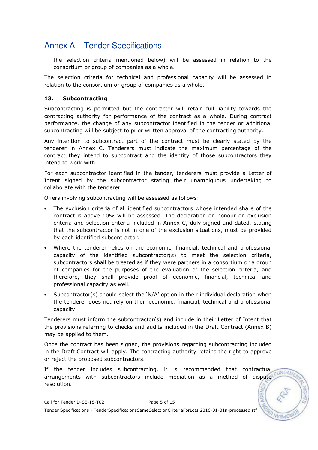the selection criteria mentioned below) will be assessed in relation to the consortium or group of companies as a whole.

The selection criteria for technical and professional capacity will be assessed in relation to the consortium or group of companies as a whole.

#### 13. Subcontracting

Subcontracting is permitted but the contractor will retain full liability towards the contracting authority for performance of the contract as a whole. During contract performance, the change of any subcontractor identified in the tender or additional subcontracting will be subject to prior written approval of the contracting authority.

Any intention to subcontract part of the contract must be clearly stated by the tenderer in Annex C. Tenderers must indicate the maximum percentage of the contract they intend to subcontract and the identity of those subcontractors they intend to work with.

For each subcontractor identified in the tender, tenderers must provide a Letter of Intent signed by the subcontractor stating their unambiguous undertaking to collaborate with the tenderer.

Offers involving subcontracting will be assessed as follows:

- The exclusion criteria of all identified subcontractors whose intended share of the contract is above 10% will be assessed. The declaration on honour on exclusion criteria and selection criteria included in Annex C, duly signed and dated, stating that the subcontractor is not in one of the exclusion situations, must be provided by each identified subcontractor.
- Where the tenderer relies on the economic, financial, technical and professional capacity of the identified subcontractor(s) to meet the selection criteria, subcontractors shall be treated as if they were partners in a consortium or a group of companies for the purposes of the evaluation of the selection criteria, and therefore, they shall provide proof of economic, financial, technical and professional capacity as well.
- Subcontractor(s) should select the 'N/A' option in their individual declaration when the tenderer does not rely on their economic, financial, technical and professional capacity.

Tenderers must inform the subcontractor(s) and include in their Letter of Intent that the provisions referring to checks and audits included in the Draft Contract (Annex B) may be applied to them.

Once the contract has been signed, the provisions regarding subcontracting included in the Draft Contract will apply. The contracting authority retains the right to approve or reject the proposed subcontractors.

If the tender includes subcontracting, it is recommended that contractual  $E$ WDA arrangements with subcontractors include mediation as a method of dispute resolution.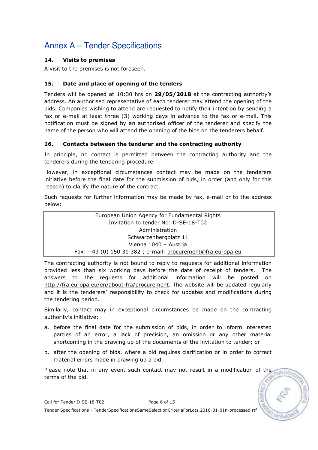### 14. Visits to premises

A visit to the premises is not foreseen.

### 15. Date and place of opening of the tenders

Tenders will be opened at 10:30 hrs on 29/05/2018 at the contracting authority's address. An authorised representative of each tenderer may attend the opening of the bids. Companies wishing to attend are requested to notify their intention by sending a fax or e-mail at least three (3) working days in advance to the fax or e-mail. This notification must be signed by an authorised officer of the tenderer and specify the name of the person who will attend the opening of the bids on the tenderers behalf.

### 16. Contacts between the tenderer and the contracting authority

In principle, no contact is permitted between the contracting authority and the tenderers during the tendering procedure.

However, in exceptional circumstances contact may be made on the tenderers initiative before the final date for the submission of bids, in order (and only for this reason) to clarify the nature of the contract.

Such requests for further information may be made by fax, e-mail or to the address below:

> European Union Agency for Fundamental Rights Invitation to tender No: D-SE-18-T02 Administration Schwarzenbergplatz 11 Vienna 1040 – Austria Fax: +43 (0) 150 31 382 ; e-mail: procurement@fra.europa.eu

The contracting authority is not bound to reply to requests for additional information provided less than six working days before the date of receipt of tenders. The answers to the requests for additional information will be posted on http://fra.europa.eu/en/about-fra/procurement. The website will be updated regularly and it is the tenderers' responsibility to check for updates and modifications during the tendering period.

Similarly, contact may in exceptional circumstances be made on the contracting authority's initiative:

- a. before the final date for the submission of bids, in order to inform interested parties of an error, a lack of precision, an omission or any other material shortcoming in the drawing up of the documents of the invitation to tender; or
- b. after the opening of bids, where a bid requires clarification or in order to correct material errors made in drawing up a bid.

Please note that in any event such contact may not result in a modification of the  $-1$ INDA terms of the bid.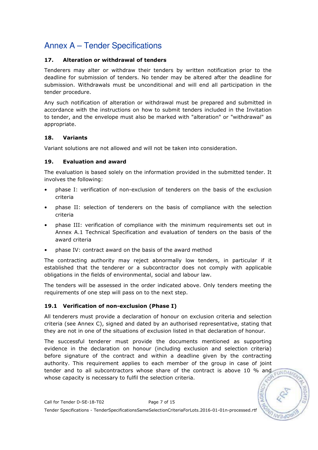### 17. Alteration or withdrawal of tenders

Tenderers may alter or withdraw their tenders by written notification prior to the deadline for submission of tenders. No tender may be altered after the deadline for submission. Withdrawals must be unconditional and will end all participation in the tender procedure.

Any such notification of alteration or withdrawal must be prepared and submitted in accordance with the instructions on how to submit tenders included in the Invitation to tender, and the envelope must also be marked with "alteration" or "withdrawal" as appropriate.

### 18. Variants

Variant solutions are not allowed and will not be taken into consideration.

### 19. Evaluation and award

The evaluation is based solely on the information provided in the submitted tender. It involves the following:

- phase I: verification of non-exclusion of tenderers on the basis of the exclusion criteria
- phase II: selection of tenderers on the basis of compliance with the selection criteria
- phase III: verification of compliance with the minimum requirements set out in Annex A.1 Technical Specification and evaluation of tenders on the basis of the award criteria
- phase IV: contract award on the basis of the award method

The contracting authority may reject abnormally low tenders, in particular if it established that the tenderer or a subcontractor does not comply with applicable obligations in the fields of environmental, social and labour law.

The tenders will be assessed in the order indicated above. Only tenders meeting the requirements of one step will pass on to the next step.

### 19.1 Verification of non-exclusion (Phase I)

All tenderers must provide a declaration of honour on exclusion criteria and selection criteria (see Annex C), signed and dated by an authorised representative, stating that they are not in one of the situations of exclusion listed in that declaration of honour.

The successful tenderer must provide the documents mentioned as supporting evidence in the declaration on honour (including exclusion and selection criteria) before signature of the contract and within a deadline given by the contracting authority. This requirement applies to each member of the group in case of joint tender and to all subcontractors whose share of the contract is above 10 % and whose capacity is necessary to fulfil the selection criteria.

 $-11NDA$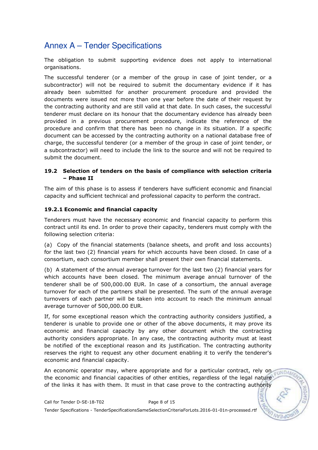The obligation to submit supporting evidence does not apply to international organisations.

The successful tenderer (or a member of the group in case of joint tender, or a subcontractor) will not be required to submit the documentary evidence if it has already been submitted for another procurement procedure and provided the documents were issued not more than one year before the date of their request by the contracting authority and are still valid at that date. In such cases, the successful tenderer must declare on its honour that the documentary evidence has already been provided in a previous procurement procedure, indicate the reference of the procedure and confirm that there has been no change in its situation. If a specific document can be accessed by the contracting authority on a national database free of charge, the successful tenderer (or a member of the group in case of joint tender, or a subcontractor) will need to include the link to the source and will not be required to submit the document.

#### 19.2 Selection of tenders on the basis of compliance with selection criteria – Phase II

The aim of this phase is to assess if tenderers have sufficient economic and financial capacity and sufficient technical and professional capacity to perform the contract.

### 19.2.1 Economic and financial capacity

Tenderers must have the necessary economic and financial capacity to perform this contract until its end. In order to prove their capacity, tenderers must comply with the following selection criteria:

(a) Copy of the financial statements (balance sheets, and profit and loss accounts) for the last two (2) financial years for which accounts have been closed. In case of a consortium, each consortium member shall present their own financial statements.

(b) A statement of the annual average turnover for the last two (2) financial years for which accounts have been closed. The minimum average annual turnover of the tenderer shall be of 500,000.00 EUR. In case of a consortium, the annual average turnover for each of the partners shall be presented. The sum of the annual average turnovers of each partner will be taken into account to reach the minimum annual average turnover of 500,000.00 EUR.

If, for some exceptional reason which the contracting authority considers justified, a tenderer is unable to provide one or other of the above documents, it may prove its economic and financial capacity by any other document which the contracting authority considers appropriate. In any case, the contracting authority must at least be notified of the exceptional reason and its justification. The contracting authority reserves the right to request any other document enabling it to verify the tenderer's economic and financial capacity.

An economic operator may, where appropriate and for a particular contract, rely on the economic and financial capacities of other entities, regardless of the legal nature of the links it has with them. It must in that case prove to the contracting authority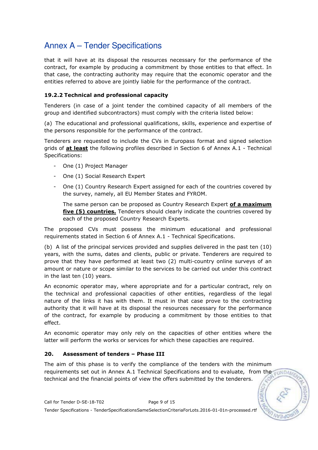that it will have at its disposal the resources necessary for the performance of the contract, for example by producing a commitment by those entities to that effect. In that case, the contracting authority may require that the economic operator and the entities referred to above are jointly liable for the performance of the contract.

### 19.2.2 Technical and professional capacity

Tenderers (in case of a joint tender the combined capacity of all members of the group and identified subcontractors) must comply with the criteria listed below:

(a) The educational and professional qualifications, skills, experience and expertise of the persons responsible for the performance of the contract.

Tenderers are requested to include the CVs in Europass format and signed selection grids of  $at$  least the following profiles described in Section 6 of Annex A.1 - Technical Specifications:

- One (1) Project Manager
- One (1) Social Research Expert
- One (1) Country Research Expert assigned for each of the countries covered by the survey, namely, all EU Member States and FYROM.

The same person can be proposed as Country Research Expert of a maximum five (5) countries. Tenderers should clearly indicate the countries covered by each of the proposed Country Research Experts.

The proposed CVs must possess the minimum educational and professional requirements stated in Section 6 of Annex A.1 - Technical Specifications.

(b) A list of the principal services provided and supplies delivered in the past ten (10) years, with the sums, dates and clients, public or private. Tenderers are required to prove that they have performed at least two (2) multi-country online surveys of an amount or nature or scope similar to the services to be carried out under this contract in the last ten (10) years.

An economic operator may, where appropriate and for a particular contract, rely on the technical and professional capacities of other entities, regardless of the legal nature of the links it has with them. It must in that case prove to the contracting authority that it will have at its disposal the resources necessary for the performance of the contract, for example by producing a commitment by those entities to that effect.

An economic operator may only rely on the capacities of other entities where the latter will perform the works or services for which these capacities are required.

### 20. Assessment of tenders – Phase III

The aim of this phase is to verify the compliance of the tenders with the minimum requirements set out in Annex A.1 Technical Specifications and to evaluate, from the technical and the financial points of view the offers submitted by the tenderers.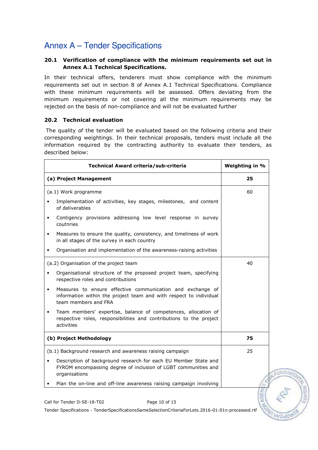### 20.1 Verification of compliance with the minimum requirements set out in Annex A.1 Technical Specifications.

In their technical offers, tenderers must show compliance with the minimum requirements set out in section 8 of Annex A.1 Technical Specifications. Compliance with these minimum requirements will be assessed. Offers deviating from the minimum requirements or not covering all the minimum requirements may be rejected on the basis of non-compliance and will not be evaluated further

#### 20.2 Technical evaluation

 The quality of the tender will be evaluated based on the following criteria and their corresponding weightings. In their technical proposals, tenders must include all the information required by the contracting authority to evaluate their tenders, as described below:

|                         | Technical Award criteria/sub-criteria                                                                                                                    | Weighting in % |
|-------------------------|----------------------------------------------------------------------------------------------------------------------------------------------------------|----------------|
| (a) Project Management  |                                                                                                                                                          | 25             |
| (a.1) Work programme    |                                                                                                                                                          | 60             |
|                         | Implementation of activities, key stages, milestones, and content<br>of deliverables                                                                     |                |
| $\bullet$               | Contigency provisions addressing low level response in survey<br>coutnries                                                                               |                |
| $\bullet$               | Measures to ensure the quality, consistency, and timeliness of work<br>in all stages of the survey in each country                                       |                |
|                         | Organisation and implementation of the awareness-raising activities                                                                                      |                |
|                         | (a.2) Organisation of the project team                                                                                                                   | 40             |
|                         | Organisational structure of the proposed project team, specifying<br>respective roles and contributions                                                  |                |
| $\bullet$               | Measures to ensure effective communication and exchange of<br>information within the project team and with respect to individual<br>team members and FRA |                |
| $\bullet$               | Team members' expertise, balance of competences, allocation of<br>respective roles, responsibilities and contributions to the project<br>activities      |                |
| (b) Project Methodology |                                                                                                                                                          | 75             |
|                         | (b.1) Background research and awareness raising campaign                                                                                                 | 25             |
|                         | Description of background research for each EU Member State and<br>FYROM encompassing degree of inclusion of LGBT communities and<br>organisations       |                |
|                         | Plan the on-line and off-line awareness raising campaign involving                                                                                       |                |
|                         | Call for Tender D-SE-18-T02<br>Page 10 of 15                                                                                                             |                |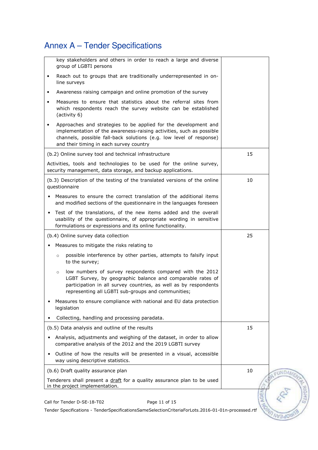|           | key stakeholders and others in order to reach a large and diverse                                                                                                                                                                                           |            |               |
|-----------|-------------------------------------------------------------------------------------------------------------------------------------------------------------------------------------------------------------------------------------------------------------|------------|---------------|
|           | group of LGBTI persons                                                                                                                                                                                                                                      |            |               |
| $\bullet$ | Reach out to groups that are traditionally underrepresented in on-<br>line surveys                                                                                                                                                                          |            |               |
| $\bullet$ | Awareness raising campaign and online promotion of the survey                                                                                                                                                                                               |            |               |
| $\bullet$ | Measures to ensure that statistics about the referral sites from<br>which respondents reach the survey website can be established<br>(activity 6)                                                                                                           |            |               |
| $\bullet$ | Approaches and strategies to be applied for the development and<br>implementation of the awareness-raising activities, such as possible<br>channels, possible fall-back solutions (e.g. low level of response)<br>and their timing in each survey country   |            |               |
|           | (b.2) Online survey tool and technical infrastructure                                                                                                                                                                                                       | 15         |               |
|           | Activities, tools and technologies to be used for the online survey,<br>security management, data storage, and backup applications.                                                                                                                         |            |               |
|           | (b.3) Description of the testing of the translated versions of the online<br>questionnaire                                                                                                                                                                  | 10         |               |
|           | Measures to ensure the correct translation of the additional items<br>and modified sections of the questionnaire in the languages foreseen                                                                                                                  |            |               |
| $\bullet$ | Test of the translations, of the new items added and the overall<br>usability of the questionnaire, of appropriate wording in sensitive<br>formulations or expressions and its online functionality.                                                        |            |               |
|           | (b.4) Online survey data collection                                                                                                                                                                                                                         | 25         |               |
|           |                                                                                                                                                                                                                                                             |            |               |
|           | Measures to mitigate the risks relating to                                                                                                                                                                                                                  |            |               |
|           | possible interference by other parties, attempts to falsify input<br>$\circ$<br>to the survey;                                                                                                                                                              |            |               |
|           | low numbers of survey respondents compared with the 2012<br>$\circ$<br>LGBT Survey, by geographic balance and comparable rates of<br>participation in all survey countries, as well as by respondents<br>representing all LGBTI sub-groups and communities; |            |               |
|           | Measures to ensure compliance with national and EU data protection<br>legislation                                                                                                                                                                           |            |               |
|           | Collecting, handling and processing paradata.                                                                                                                                                                                                               |            |               |
|           | (b.5) Data analysis and outline of the results                                                                                                                                                                                                              | 15         |               |
| $\bullet$ | Analysis, adjustments and weighing of the dataset, in order to allow<br>comparative analysis of the 2012 and the 2019 LGBTI survey                                                                                                                          |            |               |
| $\bullet$ | Outline of how the results will be presented in a visual, accessible<br>way using descriptive statistics.                                                                                                                                                   |            |               |
|           | (b.6) Draft quality assurance plan                                                                                                                                                                                                                          | 10         | <b>EUNDAM</b> |
|           | Tenderers shall present a draft for a quality assurance plan to be used<br>in the project implementation.                                                                                                                                                   | <b>AGE</b> |               |

Tender Specifications - TenderSpecificationsSameSelectionCriteriaForLots.2016-01-01n-processed.rtf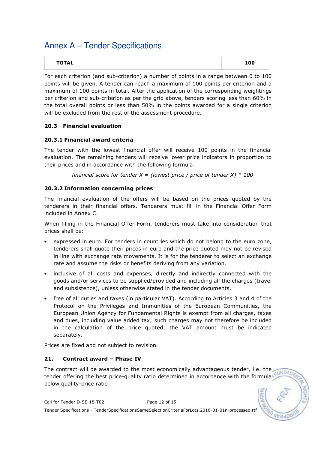| <b>TOTAL</b> | 100 |
|--------------|-----|
|--------------|-----|

For each criterion (and sub-criterion) a number of points in a range between 0 to 100 points will be given. A tender can reach a maximum of 100 points per criterion and a maximum of 100 points in total. After the application of the corresponding weightings per criterion and sub-criterion as per the grid above, tenders scoring less than 60% in the total overall points or less than 50% in the points awarded for a single criterion will be excluded from the rest of the assessment procedure.

### 20.3 Financial evaluation

### 20.3.1 Financial award criteria

The tender with the lowest financial offer will receive 100 points in the financial evaluation. The remaining tenders will receive lower price indicators in proportion to their prices and in accordance with the following formula:

financial score for tender  $X =$  (lowest price / price of tender X)  $*$  100

### 20.3.2 Information concerning prices

The financial evaluation of the offers will be based on the prices quoted by the tenderers in their financial offers. Tenderers must fill in the Financial Offer Form included in Annex C.

When filling in the Financial Offer Form, tenderers must take into consideration that prices shall be:

- expressed in euro. For tenders in countries which do not belong to the euro zone, tenderers shall quote their prices in euro and the price quoted may not be revised in line with exchange rate movements. It is for the tenderer to select an exchange rate and assume the risks or benefits deriving from any variation.
- inclusive of all costs and expenses, directly and indirectly connected with the goods and/or services to be supplied/provided and including all the charges (travel and subsistence), unless otherwise stated in the tender documents.
- free of all duties and taxes (in particular VAT). According to Articles 3 and 4 of the Protocol on the Privileges and Immunities of the European Communities, the European Union Agency for Fundamental Rights is exempt from all charges, taxes and dues, including value added tax; such charges may not therefore be included in the calculation of the price quoted; the VAT amount must be indicated separately.

Prices are fixed and not subject to revision.

### 21. Contract award – Phase IV

The contract will be awarded to the most economically advantageous tender, i.e. the tender offering the best price-quality ratio determined in accordance with the formula below quality-price ratio:

Call for Tender D-SE-18-T02 Page 12 of 15 Tender Specifications - TenderSpecificationsSameSelectionCriteriaForLots.2016-01-01n-processed.rtf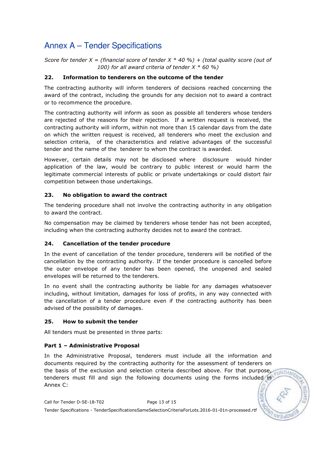Score for tender X = (financial score of tender X  $*$  40 %) + (total quality score (out of 100) for all award criteria of tender  $X * 60 %$ 

### 22. Information to tenderers on the outcome of the tender

The contracting authority will inform tenderers of decisions reached concerning the award of the contract, including the grounds for any decision not to award a contract or to recommence the procedure.

The contracting authority will inform as soon as possible all tenderers whose tenders are rejected of the reasons for their rejection. If a written request is received, the contracting authority will inform, within not more than 15 calendar days from the date on which the written request is received, all tenderers who meet the exclusion and selection criteria, of the characteristics and relative advantages of the successful tender and the name of the tenderer to whom the contract is awarded.

However, certain details may not be disclosed where disclosure would hinder application of the law, would be contrary to public interest or would harm the legitimate commercial interests of public or private undertakings or could distort fair competition between those undertakings.

### 23. No obligation to award the contract

The tendering procedure shall not involve the contracting authority in any obligation to award the contract.

No compensation may be claimed by tenderers whose tender has not been accepted, including when the contracting authority decides not to award the contract.

### 24. Cancellation of the tender procedure

In the event of cancellation of the tender procedure, tenderers will be notified of the cancellation by the contracting authority. If the tender procedure is cancelled before the outer envelope of any tender has been opened, the unopened and sealed envelopes will be returned to the tenderers.

In no event shall the contracting authority be liable for any damages whatsoever including, without limitation, damages for loss of profits, in any way connected with the cancellation of a tender procedure even if the contracting authority has been advised of the possibility of damages.

### 25. How to submit the tender

All tenders must be presented in three parts:

### Part 1 – Administrative Proposal

In the Administrative Proposal, tenderers must include all the information and documents required by the contracting authority for the assessment of tenderers on the basis of the exclusion and selection criteria described above. For that purpose, cundational tenderers must fill and sign the following documents using the forms included in Annex C:

Call for Tender D-SE-18-T02 Page 13 of 15 Tender Specifications - TenderSpecificationsSameSelectionCriteriaForLots.2016-01-01n-processed.rtf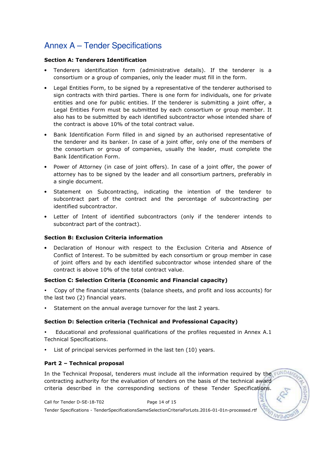### Section A: Tenderers Identification

- Tenderers identification form (administrative details). If the tenderer is a consortium or a group of companies, only the leader must fill in the form.
- Legal Entities Form, to be signed by a representative of the tenderer authorised to sign contracts with third parties. There is one form for individuals, one for private entities and one for public entities. If the tenderer is submitting a joint offer, a Legal Entities Form must be submitted by each consortium or group member. It also has to be submitted by each identified subcontractor whose intended share of the contract is above 10% of the total contract value.
- Bank Identification Form filled in and signed by an authorised representative of the tenderer and its banker. In case of a joint offer, only one of the members of the consortium or group of companies, usually the leader, must complete the Bank Identification Form.
- Power of Attorney (in case of joint offers). In case of a joint offer, the power of attorney has to be signed by the leader and all consortium partners, preferably in a single document.
- Statement on Subcontracting, indicating the intention of the tenderer to subcontract part of the contract and the percentage of subcontracting per identified subcontractor.
- Letter of Intent of identified subcontractors (only if the tenderer intends to subcontract part of the contract).

### Section B: Exclusion Criteria information

• Declaration of Honour with respect to the Exclusion Criteria and Absence of Conflict of Interest. To be submitted by each consortium or group member in case of joint offers and by each identified subcontractor whose intended share of the contract is above 10% of the total contract value.

#### Section C: Selection Criteria (Economic and Financial capacity)

- - Copy of the financial statements (balance sheets, and profit and loss accounts) for the last two (2) financial years.
- -Statement on the annual average turnover for the last 2 years.

### Section D: Selection criteria (Technical and Professional Capacity)

- - Educational and professional qualifications of the profiles requested in Annex A.1 Technical Specifications.
- -List of principal services performed in the last ten (10) years.

#### Part 2 – Technical proposal

In the Technical Proposal, tenderers must include all the information required by the contracting authority for the evaluation of tenders on the basis of the technical award criteria described in the corresponding sections of these Tender Specifications.

Call for Tender D-SE-18-T02 Page 14 of 15 Tender Specifications - TenderSpecificationsSameSelectionCriteriaForLots.2016-01-01n-processed.rtf